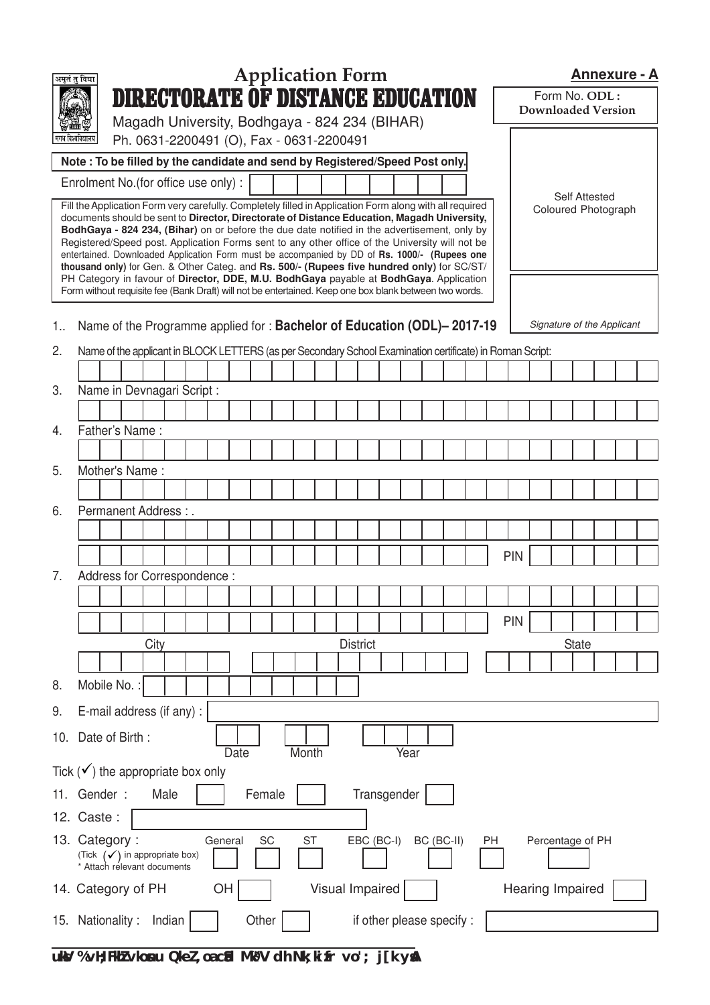|              | अमृतं तु विद्या                                                                                                                                                                                                                                                                                                                                                                                                                                                                                                                                                                                                                                                                                  |  |                                                                                                           |        |         |      |        |           | <b>Application Form</b> |                 |             |                           |            |    |                  |  | <b>Annexure - A</b>                        |  |  |
|--------------|--------------------------------------------------------------------------------------------------------------------------------------------------------------------------------------------------------------------------------------------------------------------------------------------------------------------------------------------------------------------------------------------------------------------------------------------------------------------------------------------------------------------------------------------------------------------------------------------------------------------------------------------------------------------------------------------------|--|-----------------------------------------------------------------------------------------------------------|--------|---------|------|--------|-----------|-------------------------|-----------------|-------------|---------------------------|------------|----|------------------|--|--------------------------------------------|--|--|
|              |                                                                                                                                                                                                                                                                                                                                                                                                                                                                                                                                                                                                                                                                                                  |  | <b>DIRECTORATE OF DISTANCE EDUCATION</b>                                                                  |        |         |      |        |           |                         |                 |             |                           |            |    |                  |  | Form No. ODL:<br><b>Downloaded Version</b> |  |  |
|              |                                                                                                                                                                                                                                                                                                                                                                                                                                                                                                                                                                                                                                                                                                  |  | Magadh University, Bodhgaya - 824 234 (BIHAR)                                                             |        |         |      |        |           |                         |                 |             |                           |            |    |                  |  |                                            |  |  |
|              | मगध विश्वविद्यालय                                                                                                                                                                                                                                                                                                                                                                                                                                                                                                                                                                                                                                                                                |  | Ph. 0631-2200491 (O), Fax - 0631-2200491                                                                  |        |         |      |        |           |                         |                 |             |                           |            |    |                  |  |                                            |  |  |
|              | Note: To be filled by the candidate and send by Registered/Speed Post only.<br>Enrolment No.(for office use only):                                                                                                                                                                                                                                                                                                                                                                                                                                                                                                                                                                               |  |                                                                                                           |        |         |      |        |           |                         |                 |             |                           |            |    |                  |  |                                            |  |  |
|              | Fill the Application Form very carefully. Completely filled in Application Form along with all required                                                                                                                                                                                                                                                                                                                                                                                                                                                                                                                                                                                          |  |                                                                                                           |        |         |      |        |           |                         |                 |             |                           |            |    |                  |  | <b>Self Attested</b>                       |  |  |
|              | documents should be sent to Director, Directorate of Distance Education, Magadh University,<br>BodhGaya - 824 234, (Bihar) on or before the due date notified in the advertisement, only by<br>Registered/Speed post. Application Forms sent to any other office of the University will not be<br>entertained. Downloaded Application Form must be accompanied by DD of Rs. 1000/- (Rupees one<br>thousand only) for Gen. & Other Categ. and Rs. 500/- (Rupees five hundred only) for SC/ST/<br>PH Category in favour of Director, DDE, M.U. BodhGaya payable at BodhGaya. Application<br>Form without requisite fee (Bank Draft) will not be entertained. Keep one box blank between two words. |  |                                                                                                           |        |         |      |        |           |                         |                 |             |                           |            |    |                  |  | Coloured Photograph                        |  |  |
| $1_{\cdots}$ |                                                                                                                                                                                                                                                                                                                                                                                                                                                                                                                                                                                                                                                                                                  |  | Name of the Programme applied for: Bachelor of Education (ODL)-2017-19                                    |        |         |      |        |           |                         |                 |             |                           |            |    |                  |  | Signature of the Applicant                 |  |  |
| 2.           |                                                                                                                                                                                                                                                                                                                                                                                                                                                                                                                                                                                                                                                                                                  |  | Name of the applicant in BLOCK LETTERS (as per Secondary School Examination certificate) in Roman Script: |        |         |      |        |           |                         |                 |             |                           |            |    |                  |  |                                            |  |  |
|              |                                                                                                                                                                                                                                                                                                                                                                                                                                                                                                                                                                                                                                                                                                  |  |                                                                                                           |        |         |      |        |           |                         |                 |             |                           |            |    |                  |  |                                            |  |  |
| 3.           |                                                                                                                                                                                                                                                                                                                                                                                                                                                                                                                                                                                                                                                                                                  |  | Name in Devnagari Script :                                                                                |        |         |      |        |           |                         |                 |             |                           |            |    |                  |  |                                            |  |  |
|              |                                                                                                                                                                                                                                                                                                                                                                                                                                                                                                                                                                                                                                                                                                  |  |                                                                                                           |        |         |      |        |           |                         |                 |             |                           |            |    |                  |  |                                            |  |  |
| 4.           | Father's Name:                                                                                                                                                                                                                                                                                                                                                                                                                                                                                                                                                                                                                                                                                   |  |                                                                                                           |        |         |      |        |           |                         |                 |             |                           |            |    |                  |  |                                            |  |  |
|              |                                                                                                                                                                                                                                                                                                                                                                                                                                                                                                                                                                                                                                                                                                  |  |                                                                                                           |        |         |      |        |           |                         |                 |             |                           |            |    |                  |  |                                            |  |  |
| 5.           |                                                                                                                                                                                                                                                                                                                                                                                                                                                                                                                                                                                                                                                                                                  |  | Mother's Name:                                                                                            |        |         |      |        |           |                         |                 |             |                           |            |    |                  |  |                                            |  |  |
| 6.           |                                                                                                                                                                                                                                                                                                                                                                                                                                                                                                                                                                                                                                                                                                  |  | Permanent Address : .                                                                                     |        |         |      |        |           |                         |                 |             |                           |            |    |                  |  |                                            |  |  |
|              |                                                                                                                                                                                                                                                                                                                                                                                                                                                                                                                                                                                                                                                                                                  |  |                                                                                                           |        |         |      |        |           |                         |                 |             |                           |            |    |                  |  |                                            |  |  |
|              |                                                                                                                                                                                                                                                                                                                                                                                                                                                                                                                                                                                                                                                                                                  |  |                                                                                                           |        |         |      |        |           |                         |                 |             |                           |            |    | <b>PIN</b>       |  |                                            |  |  |
| 7.           |                                                                                                                                                                                                                                                                                                                                                                                                                                                                                                                                                                                                                                                                                                  |  | Address for Correspondence:                                                                               |        |         |      |        |           |                         |                 |             |                           |            |    |                  |  |                                            |  |  |
|              |                                                                                                                                                                                                                                                                                                                                                                                                                                                                                                                                                                                                                                                                                                  |  |                                                                                                           |        |         |      |        |           |                         |                 |             |                           |            |    |                  |  |                                            |  |  |
|              |                                                                                                                                                                                                                                                                                                                                                                                                                                                                                                                                                                                                                                                                                                  |  |                                                                                                           |        |         |      |        |           |                         |                 |             |                           |            |    | <b>PIN</b>       |  |                                            |  |  |
|              |                                                                                                                                                                                                                                                                                                                                                                                                                                                                                                                                                                                                                                                                                                  |  | City                                                                                                      |        |         |      |        |           |                         | <b>District</b> |             |                           |            |    |                  |  | <b>State</b>                               |  |  |
|              |                                                                                                                                                                                                                                                                                                                                                                                                                                                                                                                                                                                                                                                                                                  |  |                                                                                                           |        |         |      |        |           |                         |                 |             |                           |            |    |                  |  |                                            |  |  |
| 8.           | Mobile No.:                                                                                                                                                                                                                                                                                                                                                                                                                                                                                                                                                                                                                                                                                      |  |                                                                                                           |        |         |      |        |           |                         |                 |             |                           |            |    |                  |  |                                            |  |  |
| 9.           | E-mail address (if any) :                                                                                                                                                                                                                                                                                                                                                                                                                                                                                                                                                                                                                                                                        |  |                                                                                                           |        |         |      |        |           |                         |                 |             |                           |            |    |                  |  |                                            |  |  |
|              | 10. Date of Birth:                                                                                                                                                                                                                                                                                                                                                                                                                                                                                                                                                                                                                                                                               |  |                                                                                                           |        |         | Date |        | Month     |                         |                 |             | Year                      |            |    |                  |  |                                            |  |  |
|              | Tick $(v')$ the appropriate box only                                                                                                                                                                                                                                                                                                                                                                                                                                                                                                                                                                                                                                                             |  |                                                                                                           |        |         |      |        |           |                         |                 |             |                           |            |    |                  |  |                                            |  |  |
|              | 11. Gender:                                                                                                                                                                                                                                                                                                                                                                                                                                                                                                                                                                                                                                                                                      |  | Male                                                                                                      |        |         |      | Female |           |                         |                 | Transgender |                           |            |    |                  |  |                                            |  |  |
|              | 12. Caste:                                                                                                                                                                                                                                                                                                                                                                                                                                                                                                                                                                                                                                                                                       |  |                                                                                                           |        |         |      |        |           |                         |                 |             |                           |            |    |                  |  |                                            |  |  |
|              | 13. Category:                                                                                                                                                                                                                                                                                                                                                                                                                                                                                                                                                                                                                                                                                    |  | (Tick $(\checkmark)$ in appropriate box)<br>* Attach relevant documents                                   |        | General |      | SC     | <b>ST</b> |                         |                 | EBC (BC-I)  |                           | BC (BC-II) | PH |                  |  | Percentage of PH                           |  |  |
|              | 14. Category of PH                                                                                                                                                                                                                                                                                                                                                                                                                                                                                                                                                                                                                                                                               |  |                                                                                                           |        | OH      |      |        |           | Visual Impaired         |                 |             |                           |            |    | Hearing Impaired |  |                                            |  |  |
| 15.          | Nationality:                                                                                                                                                                                                                                                                                                                                                                                                                                                                                                                                                                                                                                                                                     |  |                                                                                                           | Indian |         |      | Other  |           |                         |                 |             | if other please specify : |            |    |                  |  |                                            |  |  |

**uksV % vH;FkhZ vkosnu QkeZ ,oa cSad Mªk¶V dh Nk;kizfr vo'; j[k ysaA**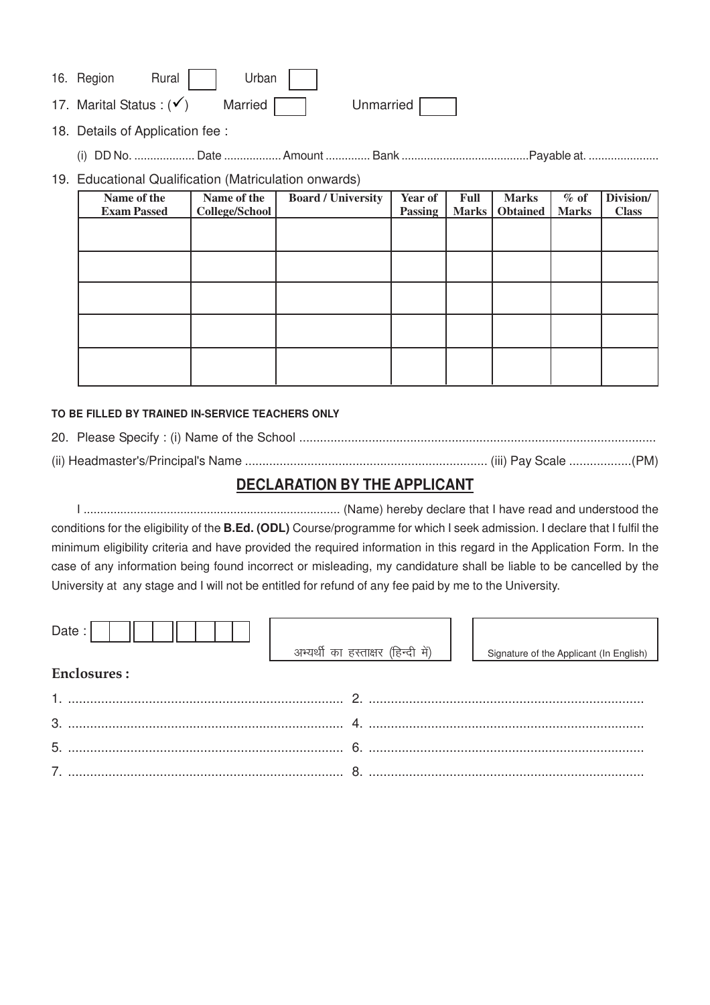| 16. Region Rural Urban |  |  |                                                             |  |
|------------------------|--|--|-------------------------------------------------------------|--|
|                        |  |  | 17. Marital Status : $(v')$ Married $\Box$ Unmarried $\Box$ |  |

18. Details of Application fee :

(i) DD No. ................... Date .................. Amount .............. Bank ........................................Payable at. ......................

## 19. Educational Qualification (Matriculation onwards)

| Name of the        | Name of the    | <b>Board / University</b> | Year of        | Full         | <b>Marks</b>    | $%$ of       | Division/    |
|--------------------|----------------|---------------------------|----------------|--------------|-----------------|--------------|--------------|
| <b>Exam Passed</b> | College/School |                           | <b>Passing</b> | <b>Marks</b> | <b>Obtained</b> | <b>Marks</b> | <b>Class</b> |
|                    |                |                           |                |              |                 |              |              |
|                    |                |                           |                |              |                 |              |              |
|                    |                |                           |                |              |                 |              |              |
|                    |                |                           |                |              |                 |              |              |
|                    |                |                           |                |              |                 |              |              |
|                    |                |                           |                |              |                 |              |              |
|                    |                |                           |                |              |                 |              |              |
|                    |                |                           |                |              |                 |              |              |
|                    |                |                           |                |              |                 |              |              |
|                    |                |                           |                |              |                 |              |              |

### **TO BE FILLED BY TRAINED IN-SERVICE TEACHERS ONLY**

(ii) Headmaster's/Principal's Name ...................................................................... (iii) Pay Scale ..................(PM)

# **DECLARATION BY THE APPLICANT**

I ............................................................................. (Name) hereby declare that I have read and understood the conditions for the eligibility of the **B.Ed. (ODL)** Course/programme for which I seek admission. I declare that I fulfil the minimum eligibility criteria and have provided the required information in this regard in the Application Form. In the case of any information being found incorrect or misleading, my candidature shall be liable to be cancelled by the University at any stage and I will not be entitled for refund of any fee paid by me to the University.

| Date:              | अभ्यर्थी का हस्ताक्षर (हिन्दी में) | Signature of the Applicant (In English) |
|--------------------|------------------------------------|-----------------------------------------|
| <b>Enclosures:</b> |                                    |                                         |
|                    | റ                                  |                                         |
| $\mathbf{3}$       |                                    |                                         |
| 5 <sub>1</sub>     |                                    |                                         |

7. ........................................................................... 8. ...........................................................................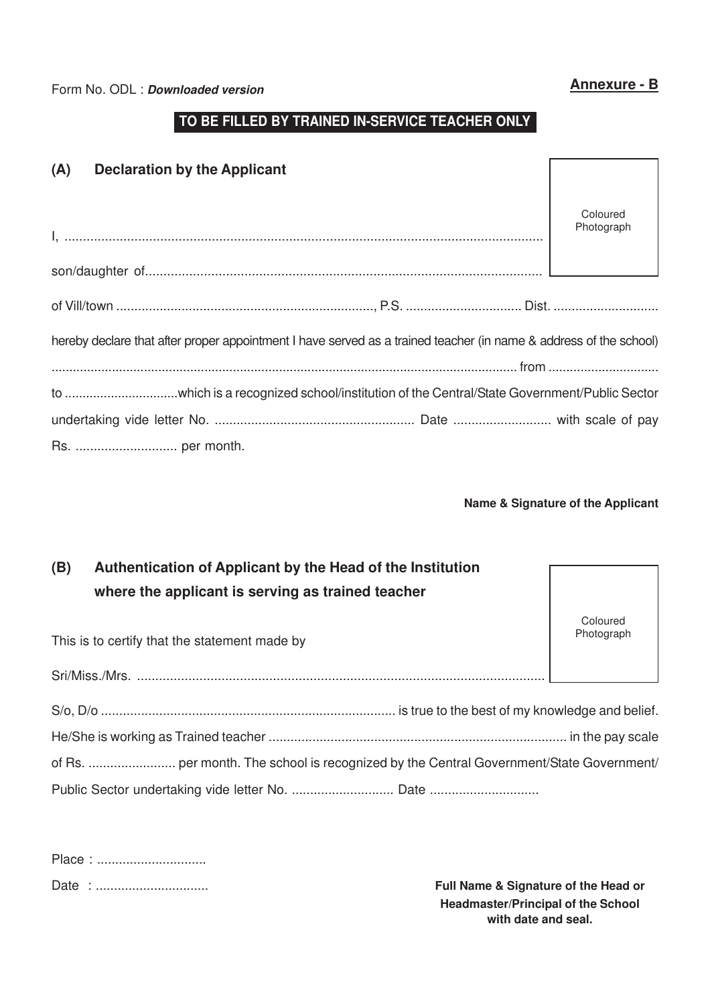Form No. ODL : **Downloaded version Annexure - B** 

# **TO BE FILLED BY TRAINED IN-SERVICE TEACHER ONLY**

| (A)<br><b>Declaration by the Applicant</b>                                                                        |                        |
|-------------------------------------------------------------------------------------------------------------------|------------------------|
|                                                                                                                   | Coloured<br>Photograph |
|                                                                                                                   |                        |
|                                                                                                                   |                        |
| hereby declare that after proper appointment I have served as a trained teacher (in name & address of the school) |                        |
|                                                                                                                   |                        |
|                                                                                                                   |                        |
|                                                                                                                   |                        |
|                                                                                                                   |                        |

#### **Name & Signature of the Applicant**

| (B) | Authentication of Applicant by the Head of the Institution<br>where the applicant is serving as trained teacher |                        |
|-----|-----------------------------------------------------------------------------------------------------------------|------------------------|
|     | This is to certify that the statement made by                                                                   | Coloured<br>Photograph |
|     |                                                                                                                 |                        |
|     |                                                                                                                 |                        |
|     |                                                                                                                 |                        |
|     |                                                                                                                 |                        |
|     | Public Sector undertaking vide letter No.  Date                                                                 |                        |

**Full Name & Signature of the Head or Headmaster/Principal of the School with date and seal.**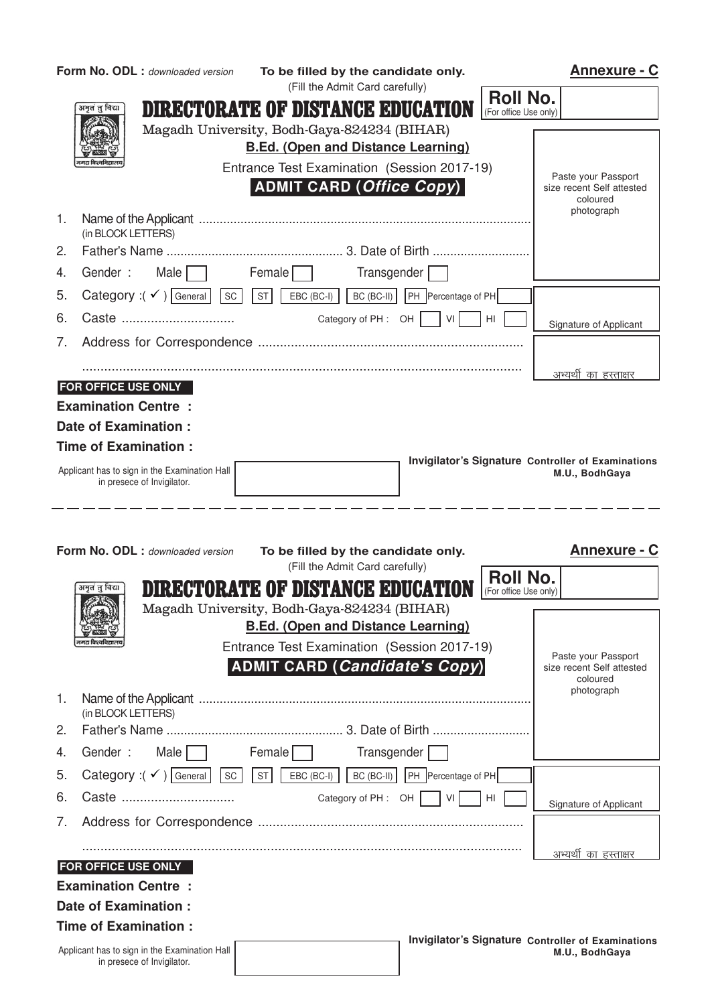| Form No. ODL : downloaded version                                            | To be filled by the candidate only.                                         | <b>Annexure - C</b>                                       |
|------------------------------------------------------------------------------|-----------------------------------------------------------------------------|-----------------------------------------------------------|
| अनृतं तु विद्या                                                              | (Fill the Admit Card carefully)<br><b>DIRECTORATE OF DISTANCE EDUCATION</b> | <b>Roll No.</b><br>(For office Use only)                  |
|                                                                              | Magadh University, Bodh-Gaya-824234 (BIHAR)                                 |                                                           |
|                                                                              | <b>B.Ed. (Open and Distance Learning)</b>                                   |                                                           |
|                                                                              | Entrance Test Examination (Session 2017-19)                                 | Paste your Passport                                       |
|                                                                              | ADMIT CARD (Office Copy)                                                    | size recent Self attested<br>coloured<br>photograph       |
| 1.<br>(in BLOCK LETTERS)                                                     |                                                                             |                                                           |
| 2.                                                                           |                                                                             |                                                           |
| Gender: Male<br>4.                                                           | Female $\Box$<br>Transgender                                                |                                                           |
| Category : $(\checkmark)$ General SC ST EBC (BC-I)<br>5.                     | BC (BC-II)    PH   Percentage of PH                                         |                                                           |
| 6.                                                                           |                                                                             | - I HI<br>Signature of Applicant                          |
| 7.                                                                           |                                                                             |                                                           |
|                                                                              |                                                                             | अभ्यर् <u>थी का हस्ताक्षर</u>                             |
| <b>FOR OFFICE USE ONLY</b>                                                   |                                                                             |                                                           |
| <b>Examination Centre:</b>                                                   |                                                                             |                                                           |
| <b>Date of Examination:</b>                                                  |                                                                             |                                                           |
| <b>Time of Examination:</b>                                                  |                                                                             | Invigilator's Signature Controller of Examinations        |
| Applicant has to sign in the Examination Hall<br>in presece of Invigilator.  |                                                                             | M.U., BodhGaya                                            |
|                                                                              |                                                                             |                                                           |
|                                                                              |                                                                             |                                                           |
|                                                                              |                                                                             |                                                           |
| Form No. ODL : downloaded version                                            |                                                                             | <b>Annexure - C</b>                                       |
|                                                                              | To be filled by the candidate only.<br>(Fill the Admit Card carefully)      |                                                           |
| अनृतं तु विद्या                                                              | DIRECTORATE OF DISTANCE EDUCATION                                           | <b>Roll No.</b><br>(For office Use only)                  |
|                                                                              | Magadh University, Bodh-Gaya-824234 (BIHAR)                                 |                                                           |
|                                                                              | <b>B.Ed. (Open and Distance Learning)</b>                                   |                                                           |
|                                                                              | Entrance Test Examination (Session 2017-19)                                 |                                                           |
|                                                                              | <b>ADMIT CARD (Candidate's Copy)</b>                                        | Paste your Passport<br>size recent Self attested          |
| 1.                                                                           |                                                                             | coloured<br>photograph                                    |
| (in BLOCK LETTERS)<br>2.                                                     |                                                                             |                                                           |
|                                                                              |                                                                             |                                                           |
| Male $\Box$<br>Gender:<br>4.                                                 | Female<br>Transgender                                                       |                                                           |
| Category : $(\checkmark)$ General SC ST<br>5.                                | BC (BC-II)    PH   Percentage of PH<br>$EBC (BC-I)$                         |                                                           |
| Caste<br>6.                                                                  | Category of $PH:$ OH  <br>VI                                                | HL<br>Signature of Applicant                              |
| 7.                                                                           |                                                                             |                                                           |
|                                                                              |                                                                             | अभ्यर् <u>थी का हस्ताक्षर</u>                             |
| <b>FOR OFFICE USE ONLY</b>                                                   |                                                                             |                                                           |
| <b>Examination Centre:</b>                                                   |                                                                             |                                                           |
| Date of Examination :                                                        |                                                                             |                                                           |
| <b>Time of Examination:</b><br>Applicant has to sign in the Examination Hall |                                                                             | <b>Invigilator's Signature Controller of Examinations</b> |